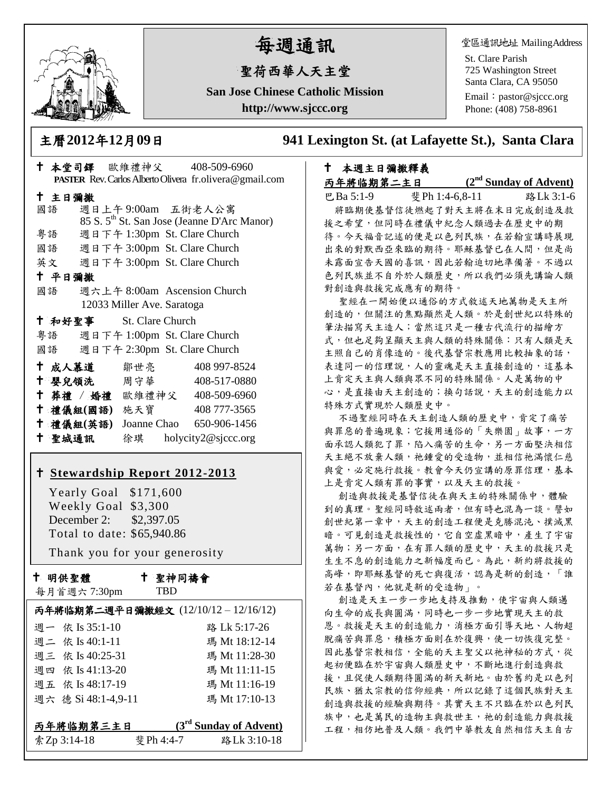

# 每週通訊

# 聖荷西華人天主堂

**San Jose Chinese Catholic Mission http://www.sjccc.org**

堂區通訊地址 MailingAddress

St. Clare Parish 725 Washington Street Santa Clara, CA 95050

Email: [pastor@sjccc.org](mailto:pastor@sjccc.org) Phone: (408) 758-8961

主曆**2012**年**12**月**09**日 **941 Lexington St. (at Lafayette St.), Santa Clara** 

| † 本堂司鐸 歐維禮神父       408-509-6960    |                              |                                                         |  |  |
|------------------------------------|------------------------------|---------------------------------------------------------|--|--|
|                                    |                              | PASTER Rev. Carlos Alberto Olivera fr.olivera@gmail.com |  |  |
| 十 主日彌撒                             |                              |                                                         |  |  |
| 國語                                 | 週日上午9:00am 五街老人公寓            |                                                         |  |  |
|                                    |                              | 85 S. 5 <sup>th</sup> St. San Jose (Jeanne D'Arc Manor) |  |  |
| 粤語                                 | 週日下午 1:30pm St. Clare Church |                                                         |  |  |
| 國語 週日下午 3:00pm St. Clare Church    |                              |                                                         |  |  |
| 英文 週日下午 3:00pm St. Clare Church    |                              |                                                         |  |  |
| 十 平日彌撒                             |                              |                                                         |  |  |
| 國語                                 | 週六上午 8:00am Ascension Church |                                                         |  |  |
| 12033 Miller Ave. Saratoga         |                              |                                                         |  |  |
| † 和好聖事 St. Clare Church            |                              |                                                         |  |  |
| 粤語 週日下午 1:00pm St. Clare Church    |                              |                                                         |  |  |
| 國語 週日下午 2:30pm St. Clare Church    |                              |                                                         |  |  |
| † 成人慕道   鄒世亮                       |                              | 408 997-8524                                            |  |  |
| ↑ 嬰兒領洗 周守華                         |                              | 408-517-0880                                            |  |  |
| † 葬禮 / 婚禮 歐維禮神父 408-509-6960       |                              |                                                         |  |  |
| 十 禮儀組(國語) 施天寶                      |                              | 408 777-3565                                            |  |  |
| † 禮儀組(英語) Joanne Chao 650−906−1456 |                              |                                                         |  |  |
| 十 聖城通訊                             |                              | 徐琪 holycity2@sjccc.org                                  |  |  |

## **[Stewardship Report 2012-2013](http://sjccc.org/index.php/finance.html?src=bulletin112512)**

 Yearly Goal \$171,600 Weekly Goal \$3,300 December 2: \$2,397.05 Total to date: \$65,940.86

Thank you for your generosity

十 明供聖體

每月首週六 7:30pm

聖神同禱會

TBD

|                     | 丙年將临期第二週平日彌撒經文 (12/10/12-12/16/12) |
|---------------------|------------------------------------|
| 週一 依 Is 35:1-10     | 路 Lk 5:17-26                       |
| 週二 依 Is 40:1-11     | 瑪 Mt 18:12-14                      |
| 週三 依 Is 40:25-31    | 瑪 Mt 11:28-30                      |
| 週四 依 Is 41:13-20    | 瑪 Mt 11:11-15                      |
| 週五 依 Is 48:17-19    | 瑪 Mt 11:16-19                      |
| 週六 德 Si 48:1-4,9-11 | 瑪 Mt 17:10-13                      |
|                     |                                    |
| 丙年將临期第三主日           | $(3rd$ Sunday of Advent)           |
| 索Zp 3:14-18         | 斐 Ph 4:4-7<br>路Lk 3:10-18          |

### 本週主日彌撒釋義 丙年將临期第二主日 **(2**

**nd Sunday of Advent)**

巴Ba 5:1-9 斐Ph 1:4-6,8-11 路Lk 3:1-6 將臨期使基督信徒燃起了對天主將在末日完成創造及救 援之希望,但同時在禮儀中紀念人類過去在歷史中的期 待。今天福音記述的便是以色列民族,在若翰宣講時展現 出來的對默西亞來臨的期待。耶穌基督已在人間,但是尚 未露面宣告天國的喜訊,因此若翰迫切地準備著。不過以 色列民族並不自外於人類歷史,所以我們必須先講論人類 對創造與救援完成應有的期待。

聖經在一開始便以通俗的方式敘述天地萬物是天主所 創造的,但關注的焦點顯然是人類。於是創世紀以特殊的 筆法描寫天主造人;當然這只是一種古代流行的描繪方 式,但也足夠呈顯天主與人類的特殊關係:只有人類是天 主照自己的肖像造的。後代基督宗教應用比較抽象的話, 表達同一的信理說,人的靈魂是天主直接創造的,這基本 上肯定天主與人類與眾不同的特殊關係。人是萬物的中 心,是直接由天主創造的;換句話說,天主的創造能力以 特殊方式實現於人類歷史中。

不過聖經同時在天主創造人類的歷史中,肯定了痛苦 與罪惡的普遍現象;它援用通俗的「失樂園」故事,一方 面承認人類犯了罪,陷入痛苦的生命,另一方面堅決相信 天主絕不放棄人類,祂鍾愛的受造物,並相信祂滿懷仁慈 與愛,必定施行救援。教會今天仍宣講的原罪信理,基本 上是肯定人類有罪的事實,以及天主的救援。

創造與救援是基督信徒在與天主的特殊關係中,體驗 到的真理。聖經同時敘述兩者,但有時也混為一談。譬如 創世紀第一章中,天主的創造工程便是克勝混沌、撲滅黑 暗。可見創造是救援性的,它自空虛黑暗中,產生了宇宙 萬物;另一方面,在有罪人類的歷史中,天主的救援只是 生生不息的創造能力之新幅度而已。為此,新約將救援的 高峰,即耶穌基督的死亡與復活,認為是新的創造,「誰 若在基督內,他就是新的受造物」。

創造是天主一步一步地支持及推動,使宇宙與人類邁 向生命的成長與圓滿,同時也一步一步地實現天主的救 恩。救援是天主的創造能力,消極方面引導天地、人物超 脫痛苦與罪惡,積極方面則在於復興,使一切恢復完整。 因此基督宗教相信,全能的天主聖父以祂神秘的方式,從 起初便臨在於宇宙與人類歷史中,不斷地進行創造與救 援,且促使人類期待圓滿的新天新地。由於舊約是以色列 民族、猶太宗教的信仰經典,所以記錄了這個民族對天主 創造與救援的經驗與期待。其實天主不只臨在於以色列民 族中,也是萬民的造物主與救世主,祂的創造能力與救援 工程,相仿地普及人類。我們中華教友自然相信天主自古